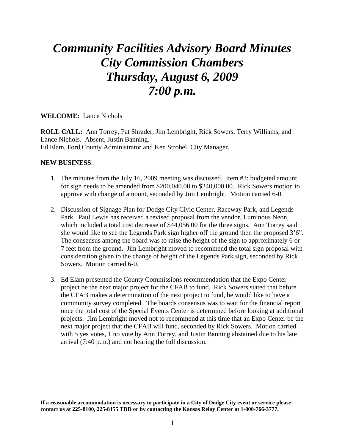## *Community Facilities Advisory Board Minutes City Commission Chambers Thursday, August 6, 2009 7:00 p.m.*

**WELCOME:** Lance Nichols

**ROLL CALL:** Ann Torrey, Pat Shrader, Jim Lembright, Rick Sowers, Terry Williams, and Lance Nichols. Absent, Justin Banning. Ed Elam, Ford County Administrator and Ken Strobel, City Manager.

## **NEW BUSINESS**:

- 1. The minutes from the July 16, 2009 meeting was discussed. Item #3: budgeted amount for sign needs to be amended from \$200,040.00 to \$240,000.00. Rick Sowers motion to approve with change of amount, seconded by Jim Lembright. Motion carried 6-0.
- 2. Discussion of Signage Plan for Dodge City Civic Center, Raceway Park, and Legends Park. Paul Lewis has received a revised proposal from the vendor, Luminous Neon, which included a total cost decrease of \$44,056.00 for the three signs. Ann Torrey said she would like to see the Legends Park sign higher off the ground then the proposed 3'6". The consensus among the board was to raise the height of the sign to approximately 6 or 7 feet from the ground. Jim Lembright moved to recommend the total sign proposal with consideration given to the change of height of the Legends Park sign, seconded by Rick Sowers. Motion carried 6-0.
- 3. Ed Elam presented the County Commissions recommendation that the Expo Center project be the next major project for the CFAB to fund. Rick Sowers stated that before the CFAB makes a determination of the next project to fund, he would like to have a community survey completed. The boards consensus was to wait for the financial report once the total cost of the Special Events Center is determined before looking at additional projects. Jim Lembright moved not to recommend at this time that an Expo Center be the next major project that the CFAB will fund, seconded by Rick Sowers. Motion carried with 5 yes votes, 1 no vote by Ann Torrey, and Justin Banning abstained due to his late arrival (7:40 p.m.) and not hearing the full discussion.

**If a reasonable accommodation is necessary to participate in a City of Dodge City event or service please contact us at 225-8100, 225-8155 TDD or by contacting the Kansas Relay Center at 1-800-766-3777.**